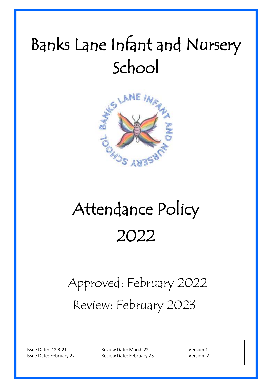## Banks Lane Infant and Nursery School



# Attendance Policy 2022

### Approved: February 2022 Review: February 2023

Issue Date: 12.3.21 Issue Date: February 22

Review Date: March 22 Review Date: February 23 Version:1 Version: 2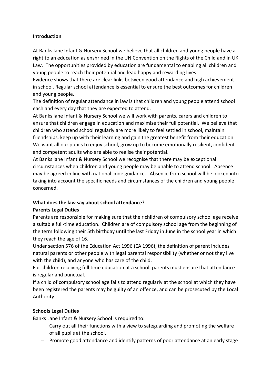#### **Introduction**

At Banks lane Infant & Nursery School we believe that all children and young people have a right to an education as enshrined in the UN Convention on the Rights of the Child and in UK Law. The opportunities provided by education are fundamental to enabling all children and young people to reach their potential and lead happy and rewarding lives.

Evidence shows that there are clear links between good attendance and high achievement in school. Regular school attendance is essential to ensure the best outcomes for children and young people.

The definition of regular attendance in law is that children and young people attend school each and every day that they are expected to attend.

At Banks lane Infant & Nursery School we will work with parents, carers and children to ensure that children engage in education and maximise their full potential. We believe that children who attend school regularly are more likely to feel settled in school, maintain friendships, keep up with their learning and gain the greatest benefit from their education. We want all our pupils to enjoy school, grow up to become emotionally resilient, confident and competent adults who are able to realise their potential.

At Banks lane Infant & Nursery School we recognise that there may be exceptional circumstances when children and young people may be unable to attend school. Absence may be agreed in line with national code guidance. Absence from school will be looked into taking into account the specific needs and circumstances of the children and young people concerned.

#### **What does the law say about school attendance?**

#### **Parents Legal Duties**

Parents are responsible for making sure that their children of compulsory school age receive a suitable full-time education. Children are of compulsory school age from the beginning of the term following their 5th birthday until the last Friday in June in the school year in which they reach the age of 16.

Under section 576 of the Education Act 1996 (EA 1996), the definition of parent includes natural parents or other people with legal parental responsibility (whether or not they live with the child), and anyone who has care of the child.

For children receiving full time education at a school, parents must ensure that attendance is regular and punctual.

If a child of compulsory school age fails to attend regularly at the school at which they have been registered the parents may be guilty of an offence, and can be prosecuted by the Local Authority.

#### **Schools Legal Duties**

Banks Lane Infant & Nursery School is required to:

- Carry out all their functions with a view to safeguarding and promoting the welfare of all pupils at the school.
- Promote good attendance and identify patterns of poor attendance at an early stage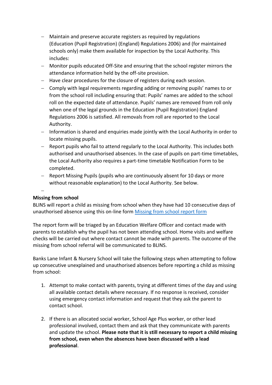- Maintain and preserve accurate registers as required by regulations (Education (Pupil Registration) (England) Regulations 2006) and (for maintained schools only) make them available for inspection by the Local Authority. This includes:
- Monitor pupils educated Off-Site and ensuring that the school register mirrors the attendance information held by the off-site provision.
- $-$  Have clear procedures for the closure of registers during each session.
- Comply with legal requirements regarding adding or removing pupils' names to or from the school roll including ensuring that: Pupils' names are added to the school roll on the expected date of attendance. Pupils' names are removed from roll only when one of the legal grounds in the Education (Pupil Registration) England Regulations 2006 is satisfied. All removals from roll are reported to the Local Authority.
- Information is shared and enquiries made jointly with the Local Authority in order to locate missing pupils.
- Report pupils who fail to attend regularly to the Local Authority. This includes both authorised and unauthorised absences. In the case of pupils on part-time timetables, the Local Authority also requires a part-time timetable Notification Form to be completed.

- Report Missing Pupils (pupils who are continuously absent for 10 days or more without reasonable explanation) to the Local Authority. See below.

#### $\overline{a}$

#### **Missing from school**

BLINS will report a child as missing from school when they have had 10 consecutive days of unauthorised absence using this on-line form [Missing from school report form](https://www.stockport.gov.uk/start/missing-from-school-report-form)

The report form will be triaged by an Education Welfare Officer and contact made with parents to establish why the pupil has not been attending school. Home visits and welfare checks will be carried out where contact cannot be made with parents. The outcome of the missing from school referral will be communicated to BLINS.

Banks Lane Infant & Nursery School will take the following steps when attempting to follow up consecutive unexplained and unauthorised absences before reporting a child as missing from school:

- 1. Attempt to make contact with parents, trying at different times of the day and using all available contact details where necessary. If no response is received, consider using emergency contact information and request that they ask the parent to contact school.
- 2. If there is an allocated social worker, School Age Plus worker, or other lead professional involved, contact them and ask that they communicate with parents and update the school. **Please note that it is still necessary to report a child missing from school, even when the absences have been discussed with a lead professional**.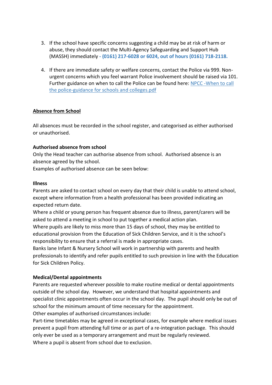- 3. If the school have specific concerns suggesting a child may be at risk of harm or abuse, they should contact the Multi-Agency Safeguarding and Support Hub (MASSH) immediately **- (0161) 217-6028 or 6024, out of hours (0161) 718-2118.**
- 4. If there are immediate safety or welfare concerns, contact the Police via 999. Nonurgent concerns which you feel warrant Police involvement should be raised via 101. Further guidance on when to call the Police can be found here: [NPCC -When to call](https://www.npcc.police.uk/documents/Children%20and%20Young%20people/When%20to%20call%20the%20police%20guidance%20for%20schools%20and%20colleges.pdf)  [the police-guidance for schools and colleges.pdf](https://www.npcc.police.uk/documents/Children%20and%20Young%20people/When%20to%20call%20the%20police%20guidance%20for%20schools%20and%20colleges.pdf)

#### **Absence from School**

All absences must be recorded in the school register, and categorised as either authorised or unauthorised.

#### **Authorised absence from school**

Only the Head teacher can authorise absence from school. Authorised absence is an absence agreed by the school.

Examples of authorised absence can be seen below:

#### **Illness**

Parents are asked to contact school on every day that their child is unable to attend school, except where information from a health professional has been provided indicating an expected return date.

Where a child or young person has frequent absence due to illness, parent/carers will be asked to attend a meeting in school to put together a medical action plan.

Where pupils are likely to miss more than 15 days of school, they may be entitled to educational provision from the Education of Sick Children Service, and it is the school's responsibility to ensure that a referral is made in appropriate cases.

Banks lane Infant & Nursery School will work in partnership with parents and health professionals to identify and refer pupils entitled to such provision in line with the Education for Sick Children Policy.

#### **Medical/Dental appointments**

Parents are requested wherever possible to make routine medical or dental appointments outside of the school day. However, we understand that hospital appointments and specialist clinic appointments often occur in the school day. The pupil should only be out of school for the minimum amount of time necessary for the appointment.

Other examples of authorised circumstances include:

Part-time timetables may be agreed in exceptional cases, for example where medical issues prevent a pupil from attending full time or as part of a re-integration package. This should only ever be used as a temporary arrangement and must be regularly reviewed. Where a pupil is absent from school due to exclusion.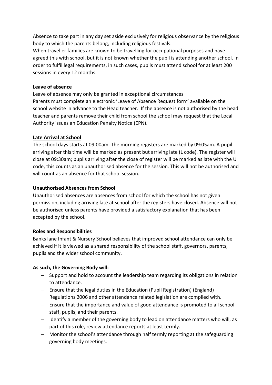Absence to take part in any day set aside exclusively for religious observance by the religious body to which the parents belong, including religious festivals.

When traveller families are known to be travelling for occupational purposes and have agreed this with school, but it is not known whether the pupil is attending another school. In order to fulfil legal requirements, in such cases, pupils must attend school for at least 200 sessions in every 12 months.

#### **Leave of absence**

Leave of absence may only be granted in exceptional circumstances Parents must complete an electronic 'Leave of Absence Request form' available on the school website in advance to the Head teacher. If the absence is not authorised by the head teacher and parents remove their child from school the school may request that the Local Authority issues an Education Penalty Notice (EPN).

#### **Late Arrival at School**

The school days starts at 09:00am. The morning registers are marked by 09:05am. A pupil arriving after this time will be marked as present but arriving late (L code). The register will close at 09:30am; pupils arriving after the close of register will be marked as late with the U code, this counts as an unauthorised absence for the session. This will not be authorised and will count as an absence for that school session.

#### **Unauthorised Absences from School**

Unauthorised absences are absences from school for which the school has not given permission, including arriving late at school after the registers have closed. Absence will not be authorised unless parents have provided a satisfactory explanation that has been accepted by the school.

#### **Roles and Responsibilities**

Banks lane Infant & Nursery School believes that improved school attendance can only be achieved if it is viewed as a shared responsibility of the school staff, governors, parents, pupils and the wider school community.

#### **As such, the Governing Body will:**

- $-$  Support and hold to account the leadership team regarding its obligations in relation to attendance.
- Ensure that the legal duties in the Education (Pupil Registration) (England) Regulations 2006 and other attendance related legislation are complied with.
- Ensure that the importance and value of good attendance is promoted to all school staff, pupils, and their parents.
- $-$  Identify a member of the governing body to lead on attendance matters who will, as part of this role, review attendance reports at least termly.
- Monitor the school's attendance through half termly reporting at the safeguarding governing body meetings.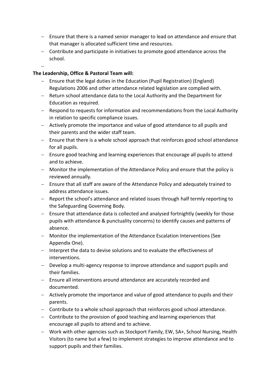- Ensure that there is a named senior manager to lead on attendance and ensure that that manager is allocated sufficient time and resources.
- Contribute and participate in initiatives to promote good attendance across the school.
- $\overline{a}$

#### **The Leadership, Office & Pastoral Team will:**

- Ensure that the legal duties in the Education (Pupil Registration) (England) Regulations 2006 and other attendance related legislation are complied with.
- Return school attendance data to the Local Authority and the Department for Education as required.
- Respond to requests for information and recommendations from the Local Authority in relation to specific compliance issues.
- Actively promote the importance and value of good attendance to all pupils and their parents and the wider staff team.
- $-$  Ensure that there is a whole school approach that reinforces good school attendance for all pupils.
- Ensure good teaching and learning experiences that encourage all pupils to attend and to achieve.
- Monitor the implementation of the Attendance Policy and ensure that the policy is reviewed annually.
- Ensure that all staff are aware of the Attendance Policy and adequately trained to address attendance issues.
- Report the school's attendance and related issues through half termly reporting to the Safeguarding Governing Body.
- Ensure that attendance data is collected and analysed fortnightly (weekly for those pupils with attendance & punctuality concerns) to identify causes and patterns of absence.
- Monitor the implementation of the Attendance Escalation Interventions (See Appendix One).
- Interpret the data to devise solutions and to evaluate the effectiveness of interventions.
- Develop a multi-agency response to improve attendance and support pupils and their families.
- Ensure all interventions around attendance are accurately recorded and documented.
- Actively promote the importance and value of good attendance to pupils and their parents.
- Contribute to a whole school approach that reinforces good school attendance.
- Contribute to the provision of good teaching and learning experiences that encourage all pupils to attend and to achieve.
- Work with other agencies such as Stockport Family, EW, SA+, School Nursing, Health Visitors (to name but a few) to implement strategies to improve attendance and to support pupils and their families.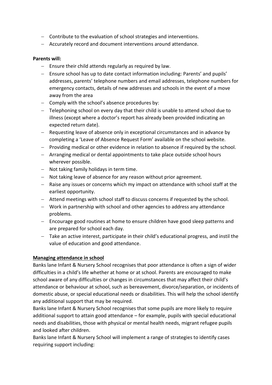- Contribute to the evaluation of school strategies and interventions.
- Accurately record and document interventions around attendance.

#### **Parents will:**

- $-$  Ensure their child attends regularly as required by law.
- Ensure school has up to date contact information including: Parents' and pupils' addresses, parents' telephone numbers and email addresses, telephone numbers for emergency contacts, details of new addresses and schools in the event of a move away from the area
- $\overline{z}$  Comply with the school's absence procedures by:
- Telephoning school on every day that their child is unable to attend school due to illness (except where a doctor's report has already been provided indicating an expected return date).
- Requesting leave of absence only in exceptional circumstances and in advance by completing a 'Leave of Absence Request Form' available on the school website.
- Providing medical or other evidence in relation to absence if required by the school.
- Arranging medical or dental appointments to take place outside school hours wherever possible.
- Not taking family holidays in term time.
- Not taking leave of absence for any reason without prior agreement.
- Raise any issues or concerns which my impact on attendance with school staff at the earliest opportunity.
- Attend meetings with school staff to discuss concerns if requested by the school.
- Work in partnership with school and other agencies to address any attendance problems.
- Encourage good routines at home to ensure children have good sleep patterns and are prepared for school each day.
- Take an active interest, participate in their child's educational progress, and instil the value of education and good attendance.

#### **Managing attendance in school**

Banks lane Infant & Nursery School recognises that poor attendance is often a sign of wider difficulties in a child's life whether at home or at school. Parents are encouraged to make school aware of any difficulties or changes in circumstances that may affect their child's attendance or behaviour at school, such as bereavement, divorce/separation, or incidents of domestic abuse, or special educational needs or disabilities. This will help the school identify any additional support that may be required.

Banks lane Infant & Nursery School recognises that some pupils are more likely to require additional support to attain good attendance – for example, pupils with special educational needs and disabilities, those with physical or mental health needs, migrant refugee pupils and looked after children.

Banks lane Infant & Nursery School will implement a range of strategies to identify cases requiring support including: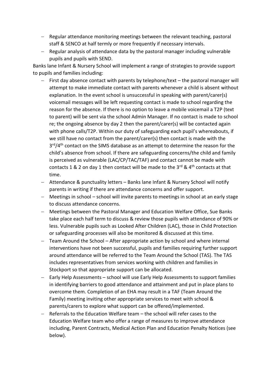- Regular attendance monitoring meetings between the relevant teaching, pastoral staff & SENCO at half termly or more frequently if necessary intervals.
- Regular analysis of attendance data by the pastoral manager including vulnerable pupils and pupils with SEND.

Banks lane Infant & Nursery School will implement a range of strategies to provide support to pupils and families including:

- $-$  First day absence contact with parents by telephone/text the pastoral manager will attempt to make immediate contact with parents whenever a child is absent without explanation. In the event school is unsuccessful in speaking with parent/carer(s) voicemail messages will be left requesting contact is made to school regarding the reason for the absence. If there is no option to leave a mobile voicemail a T2P (text to parent) will be sent via the school Admin Manager. If no contact is made to school re; the ongoing absence by day 2 then the parent/carer(s) will be contacted again with phone calls/T2P. Within our duty of safeguarding each pupil's whereabouts, if we still have no contact from the parent/carer(s) then contact is made with the 3<sup>rd</sup>/4<sup>th</sup> contact on the SIMS database as an attempt to determine the reason for the child's absence from school. If there are safeguarding concerns/the child and family is perceived as vulnerable (LAC/CP/TAC/TAF) and contact cannot be made with contacts 1 & 2 on day 1 then contact will be made to the  $3^{rd}$  &  $4^{th}$  contacts at that time.
- Attendance & punctuality letters Banks lane Infant & Nursery School will notify parents in writing if there are attendance concerns and offer support.
- Meetings in school school will invite parents to meetings in school at an early stage to discuss attendance concerns.
- Meetings between the Pastoral Manager and Education Welfare Office, Sue Banks take place each half term to discuss & review those pupils with attendance of 90% or less. Vulnerable pupils such as Looked After Children (LAC), those in Child Protection or safeguarding processes will also be monitored & discussed at this time.
- Team Around the School After appropriate action by school and where internal interventions have not been successful, pupils and families requiring further support around attendance will be referred to the Team Around the School (TAS). The TAS includes representatives from services working with children and families in Stockport so that appropriate support can be allocated.
- Early Help Assessments school will use Early Help Assessments to support families in identifying barriers to good attendance and attainment and put in place plans to overcome them. Completion of an EHA may result in a TAF (Team Around the Family) meeting inviting other appropriate services to meet with school & parents/carers to explore what support can be offered/implemented.
- Referrals to the Education Welfare team the school will refer cases to the Education Welfare team who offer a range of measures to improve attendance including, Parent Contracts, Medical Action Plan and Education Penalty Notices (see below).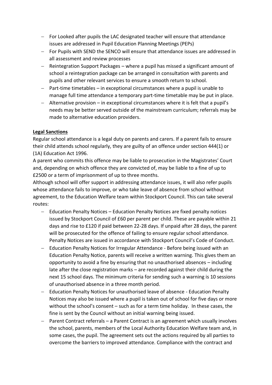- For Looked after pupils the LAC designated teacher will ensure that attendance issues are addressed in Pupil Education Planning Meetings (PEPs)
- For Pupils with SEND the SENCO will ensure that attendance issues are addressed in all assessment and review processes
- Reintegration Support Packages where a pupil has missed a significant amount of school a reintegration package can be arranged in consultation with parents and pupils and other relevant services to ensure a smooth return to school.
- $P$  Part-time timetables in exceptional circumstances where a pupil is unable to manage full time attendance a temporary part-time timetable may be put in place.
- Alternative provision in exceptional circumstances where it is felt that a pupil's needs may be better served outside of the mainstream curriculum; referrals may be made to alternative education providers.

#### **Legal Sanctions**

Regular school attendance is a legal duty on parents and carers. If a parent fails to ensure their child attends school regularly, they are guilty of an offence under section 444(1) or (1A) Education Act 1996.

A parent who commits this offence may be liable to prosecution in the Magistrates' Court and, depending on which offence they are convicted of, may be liable to a fine of up to £2500 or a term of imprisonment of up to three months.

Although school will offer support in addressing attendance issues, it will also refer pupils whose attendance fails to improve, or who take leave of absence from school without agreement, to the Education Welfare team within Stockport Council. This can take several routes:

- Education Penalty Notices Education Penalty Notices are fixed penalty notices issued by Stockport Council of £60 per parent per child. These are payable within 21 days and rise to £120 if paid between 22-28 days. If unpaid after 28 days, the parent will be prosecuted for the offence of failing to ensure regular school attendance. Penalty Notices are issued in accordance with Stockport Council's Code of Conduct.
- Education Penalty Notices for Irregular Attendance Before being issued with an Education Penalty Notice, parents will receive a written warning. This gives them an opportunity to avoid a fine by ensuring that no unauthorised absences – including late after the close registration marks – are recorded against their child during the next 15 school days. The minimum criteria for sending such a warning is 10 sessions of unauthorised absence in a three month period.
- Education Penalty Notices for unauthorised leave of absence Education Penalty Notices may also be issued where a pupil is taken out of school for five days or more without the school's consent – such as for a term time holiday. In these cases, the fine is sent by the Council without an initial warning being issued.
- Parent Contract referrals a Parent Contract is an agreement which usually involves the school, parents, members of the Local Authority Education Welfare team and, in some cases, the pupil. The agreement sets out the actions required by all parties to overcome the barriers to improved attendance. Compliance with the contract and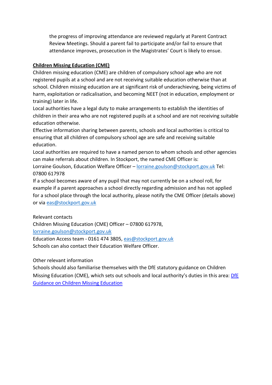the progress of improving attendance are reviewed regularly at Parent Contract Review Meetings. Should a parent fail to participate and/or fail to ensure that attendance improves, prosecution in the Magistrates' Court is likely to ensue.

#### **Children Missing Education (CME)**

Children missing education (CME) are children of compulsory school age who are not registered pupils at a school and are not receiving suitable education otherwise than at school. Children missing education are at significant risk of underachieving, being victims of harm, exploitation or radicalisation, and becoming NEET (not in education, employment or training) later in life.

Local authorities have a legal duty to make arrangements to establish the identities of children in their area who are not registered pupils at a school and are not receiving suitable education otherwise.

Effective information sharing between parents, schools and local authorities is critical to ensuring that all children of compulsory school age are safe and receiving suitable education.

Local authorities are required to have a named person to whom schools and other agencies can make referrals about children. In Stockport, the named CME Officer is:

Lorraine Goulson, Education Welfare Officer - [lorraine.goulson@stockport.gov.uk](mailto:lorraine.goulson@stockport.gov.uk) Tel: 07800 617978

If a school becomes aware of any pupil that may not currently be on a school roll, for example if a parent approaches a school directly regarding admission and has not applied for a school place through the local authority, please notify the CME Officer (details above) or via [eas@stockport.gov.uk](mailto:eas@stockport.gov.uk)

Relevant contacts

Children Missing Education (CME) Officer – 07800 617978,

[lorraine.goulson@stockport.gov.uk](mailto:lorraine.goulson@stockport.gov.uk) 

Education Access team - 0161 474 3805, [eas@stockport.gov.uk](mailto:eas@stockport.gov.uk) Schools can also contact their Education Welfare Officer.

Other relevant information

Schools should also familiarise themselves with the DfE statutory guidance on Children Missing Education (CME), which sets out schools and local authority's duties in this area: DfE [Guidance on Children Missing Education](https://www.gov.uk/government/publications/children-missing-education)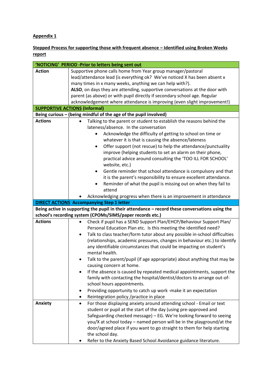#### **Appendix 1**

**Stepped Process for supporting those with frequent absence – Identified using Broken Weeks report**

| 'NOTICING' PERIOD -Prior to letters being sent out |                                                                                                 |  |
|----------------------------------------------------|-------------------------------------------------------------------------------------------------|--|
| <b>Action</b>                                      | Supportive phone calls home from Year group manager/pastoral                                    |  |
|                                                    | lead/attendance lead (is everything ok? We've noticed X has been absent x                       |  |
|                                                    | many times in x many weeks, anything we can help with?).                                        |  |
|                                                    | ALSO, on days they are attending, supportive conversations at the door with                     |  |
|                                                    | parent (as above) or with pupil directly if secondary school age. Regular                       |  |
|                                                    | acknowledgement where attendance is improving (even slight improvement!)                        |  |
|                                                    | <b>SUPPORTIVE ACTIONS (Informal)</b>                                                            |  |
|                                                    | Being curious - (being mindful of the age of the pupil involved)                                |  |
| <b>Actions</b>                                     | Talking to the parent or student to establish the reasons behind the                            |  |
|                                                    | lateness/absence. In the conversation                                                           |  |
|                                                    | Acknowledge the difficulty of getting to school on time or                                      |  |
|                                                    | whatever it is that is causing the absence/lateness                                             |  |
|                                                    | Offer support (not rescue) to help the attendance/punctuality<br>٠                              |  |
|                                                    |                                                                                                 |  |
|                                                    | improve (helping students to set an alarm on their phone,                                       |  |
|                                                    | practical advice around consulting the 'TOO ILL FOR SCHOOL'                                     |  |
|                                                    | website, etc.)                                                                                  |  |
|                                                    | Gentle reminder that school attendance is compulsory and that<br>٠                              |  |
|                                                    | it is the parent's responsibility to ensure excellent attendance.                               |  |
|                                                    | Reminder of what the pupil is missing out on when they fail to                                  |  |
|                                                    | attend                                                                                          |  |
|                                                    | Acknowledging progress when there is an improvement in attendance                               |  |
|                                                    |                                                                                                 |  |
|                                                    | <b>DIRECT ACTIONS Accompanying Step 1 letter</b>                                                |  |
|                                                    |                                                                                                 |  |
|                                                    | Being active in supporting the pupil in their attendance - record these conversations using the |  |
|                                                    | school's recording system (CPOMs/SIMS/paper records etc.)                                       |  |
| <b>Actions</b>                                     | Check if pupil has a SEND Support Plan/EHCP/Behaviour Support Plan/                             |  |
|                                                    | Personal Education Plan etc. Is this meeting the identified need?                               |  |
|                                                    | Talk to class teacher/form tutor about any possible in-school difficulties<br>$\bullet$         |  |
|                                                    | (relationships, academic pressures, changes in behaviour etc.) to identify                      |  |
|                                                    | any identifiable circumstances that could be impacting on student's                             |  |
|                                                    | mental health.                                                                                  |  |
|                                                    | Talk to the parent/pupil (if age appropriate) about anything that may be                        |  |
|                                                    | causing concern at home.                                                                        |  |
|                                                    | If the absence is caused by repeated medical appointments, support the                          |  |
|                                                    | family with contacting the hospital/dentist/doctors to arrange out-of-                          |  |
|                                                    | school hours appointments.                                                                      |  |
|                                                    | Providing opportunity to catch up work -make it an expectation<br>٠                             |  |
|                                                    | ٠                                                                                               |  |
|                                                    | Reintegration policy / practice in place<br>٠                                                   |  |
| Anxiety                                            | For those displaying anxiety around attending school - Email or text                            |  |
|                                                    | student or pupil at the start of the day (using pre-approved and                                |  |
|                                                    | Safeguarding checked message) - EG. We're looking forward to seeing                             |  |
|                                                    | you/X at school today – named person will be in the playground/at the                           |  |
|                                                    | door/agreed place if you want to go straight to them for help starting                          |  |
|                                                    | the school day.<br>Refer to the Anxiety Based School Avoidance guidance literature.             |  |